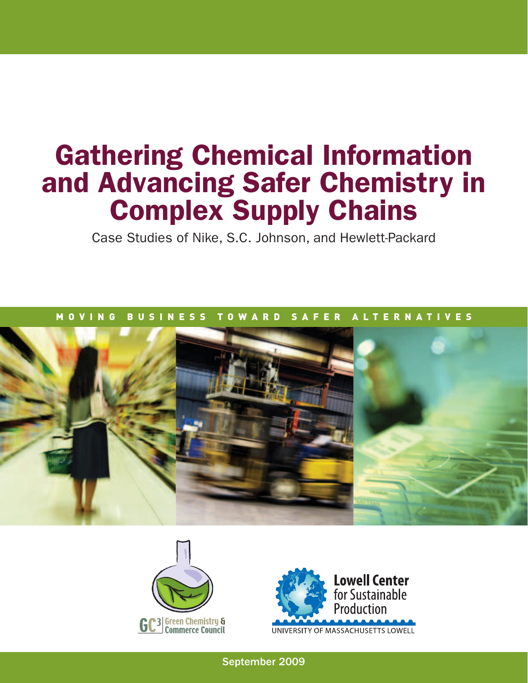# Gathering Chemical Information and Advancing Safer Chemistry in Complex Supply Chains

Case Studies of Nike, S.C. Johnson, and Hewlett-Packard

## M O V I N G B U S I N E S S T O W A R D S A F E R A L T E R N A T I V E S







September 2009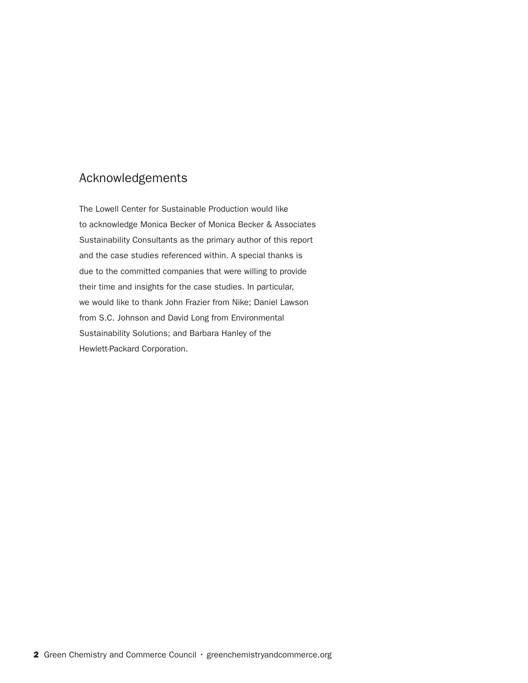## Acknowledgements

The Lowell Center for Sustainable Production would like to acknowledge Monica Becker of Monica Becker & Associates Sustainability Consultants as the primary author of this report and the case studies referenced within. A special thanks is due to the committed companies that were willing to provide their time and insights for the case studies. In particular, we would like to thank John Frazier from Nike; Daniel Lawson from S.C. Johnson and David Long from Environmental Sustainability Solutions; and Barbara Hanley of the Hewlett-Packard Corporation.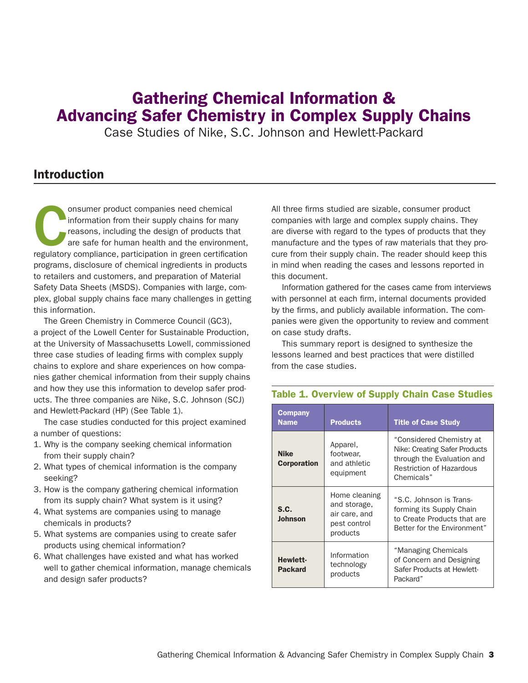## Gathering Chemical Information & Advancing Safer Chemistry in Complex Supply Chains

Case Studies of Nike, S.C. Johnson and Hewlett-Packard

## Introduction

onsumer product companies need chemical<br>
information from their supply chains for many<br>
reasons, including the design of products that<br>
are safe for human health and the environment,<br>
regulatory compliance, participation i information from their supply chains for many reasons, including the design of products that are safe for human health and the environment, programs, disclosure of chemical ingredients in products to retailers and customers, and preparation of Material Safety Data Sheets (MSDS). Companies with large, complex, global supply chains face many challenges in getting this information.

The Green Chemistry in Commerce Council (GC3), a project of the Lowell Center for Sustainable Production, at the University of Massachusetts Lowell, commissioned three case studies of leading firms with complex supply chains to explore and share experiences on how companies gather chemical information from their supply chains and how they use this information to develop safer products. The three companies are Nike, S.C. Johnson (SCJ) and Hewlett-Packard (HP) (See Table 1).

The case studies conducted for this project examined a number of questions:

- 1. Why is the company seeking chemical information from their supply chain?
- 2. What types of chemical information is the company seeking?
- 3. How is the company gathering chemical information from its supply chain? What system is it using?
- 4. What systems are companies using to manage chemicals in products?
- 5. What systems are companies using to create safer products using chemical information?
- 6. What challenges have existed and what has worked well to gather chemical information, manage chemicals and design safer products?

All three firms studied are sizable, consumer product companies with large and complex supply chains. They are diverse with regard to the types of products that they manufacture and the types of raw materials that they procure from their supply chain. The reader should keep this in mind when reading the cases and lessons reported in this document.

Information gathered for the cases came from interviews with personnel at each firm, internal documents provided by the firms, and publicly available information. The companies were given the opportunity to review and comment on case study drafts.

This summary report is designed to synthesize the lessons learned and best practices that were distilled from the case studies.

| <b>Company</b><br><b>Name</b>     | <b>Products</b>                                                            | <b>Title of Case Study</b>                                                                                                               |  |
|-----------------------------------|----------------------------------------------------------------------------|------------------------------------------------------------------------------------------------------------------------------------------|--|
| <b>Nike</b><br><b>Corporation</b> | Apparel,<br>footwear,<br>and athletic<br>equipment                         | "Considered Chemistry at<br>Nike: Creating Safer Products<br>through the Evaluation and<br><b>Restriction of Hazardous</b><br>Chemicals" |  |
| S.C.<br><b>Johnson</b>            | Home cleaning<br>and storage,<br>air care, and<br>pest control<br>products | "S.C. Johnson is Trans-<br>forming its Supply Chain<br>to Create Products that are<br>Better for the Environment"                        |  |
| <b>Hewlett-</b><br><b>Packard</b> | Information<br>technology<br>products                                      | "Managing Chemicals<br>of Concern and Designing<br>Safer Products at Hewlett-<br>Packard"                                                |  |

### Table 1. Overview of Supply Chain Case Studies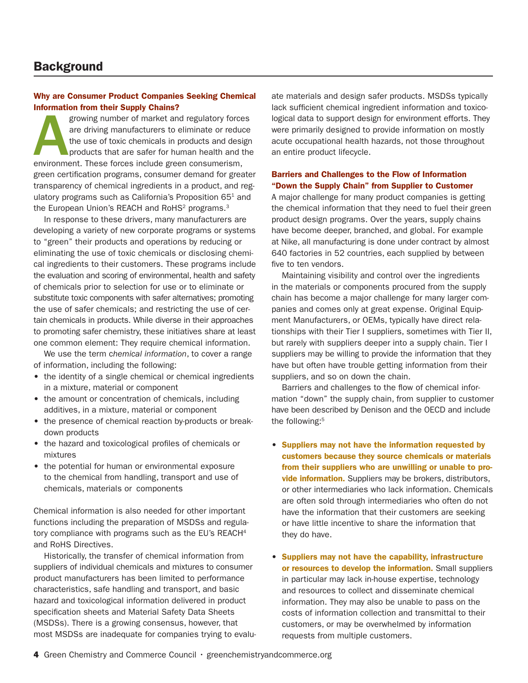## **Background**

#### Why are Consumer Product Companies Seeking Chemical Information from their Supply Chains?

growing number of market and regulatory forces are driving manufacturers to eliminate or reduce the use of toxic chemicals in products and design products that are safer for human health and the environment. These forces include green consumerism, green certification programs, consumer demand for greater transparency of chemical ingredients in a product, and regulatory programs such as California's Proposition  $65<sup>1</sup>$  and the European Union's REACH and RoHS<sup>2</sup> programs.<sup>3</sup>

In response to these drivers, many manufacturers are developing a variety of new corporate programs or systems to "green" their products and operations by reducing or eliminating the use of toxic chemicals or disclosing chemical ingredients to their customers. These programs include the evaluation and scoring of environmental, health and safety of chemicals prior to selection for use or to eliminate or substitute toxic components with safer alternatives; promoting the use of safer chemicals; and restricting the use of certain chemicals in products. While diverse in their approaches to promoting safer chemistry, these initiatives share at least one common element: They require chemical information.

We use the term c*hemical information*, to cover a range of information, including the following:

- the identity of a single chemical or chemical ingredients in a mixture, material or component
- the amount or concentration of chemicals, including additives, in a mixture, material or component
- the presence of chemical reaction by-products or breakdown products
- the hazard and toxicological profiles of chemicals or mixtures
- the potential for human or environmental exposure to the chemical from handling, transport and use of chemicals, materials or components

Chemical information is also needed for other important functions including the preparation of MSDSs and regulatory compliance with programs such as the EU's REACH<sup>4</sup> and RoHS Directives.

Historically, the transfer of chemical information from suppliers of individual chemicals and mixtures to consumer product manufacturers has been limited to performance characteristics, safe handling and transport, and basic hazard and toxicological information delivered in product specification sheets and Material Safety Data Sheets (MSDSs). There is a growing consensus, however, that most MSDSs are inadequate for companies trying to evaluate materials and design safer products. MSDSs typically lack sufficient chemical ingredient information and toxicological data to support design for environment efforts. They were primarily designed to provide information on mostly acute occupational health hazards, not those throughout an entire product lifecycle.

#### Barriers and Challenges to the Flow of Information "Down the Supply Chain" from Supplier to Customer

A major challenge for many product companies is getting the chemical information that they need to fuel their green product design programs. Over the years, supply chains have become deeper, branched, and global. For example at Nike, all manufacturing is done under contract by almost 640 factories in 52 countries, each supplied by between five to ten vendors.

Maintaining visibility and control over the ingredients in the materials or components procured from the supply chain has become a major challenge for many larger companies and comes only at great expense. Original Equipment Manufacturers, or OEMs, typically have direct relationships with their Tier I suppliers, sometimes with Tier II, but rarely with suppliers deeper into a supply chain. Tier I suppliers may be willing to provide the information that they have but often have trouble getting information from their suppliers, and so on down the chain.

Barriers and challenges to the flow of chemical information "down" the supply chain, from supplier to customer have been described by Denison and the OECD and include the following:<sup>5</sup>

- • Suppliers may not have the information requested by customers because they source chemicals or materials from their suppliers who are unwilling or unable to provide information. Suppliers may be brokers, distributors, or other intermediaries who lack information. Chemicals are often sold through intermediaries who often do not have the information that their customers are seeking or have little incentive to share the information that they do have.
- • Suppliers may not have the capability, infrastructure or resources to develop the information. Small suppliers in particular may lack in-house expertise, technology and resources to collect and disseminate chemical information. They may also be unable to pass on the costs of information collection and transmittal to their customers, or may be overwhelmed by information requests from multiple customers.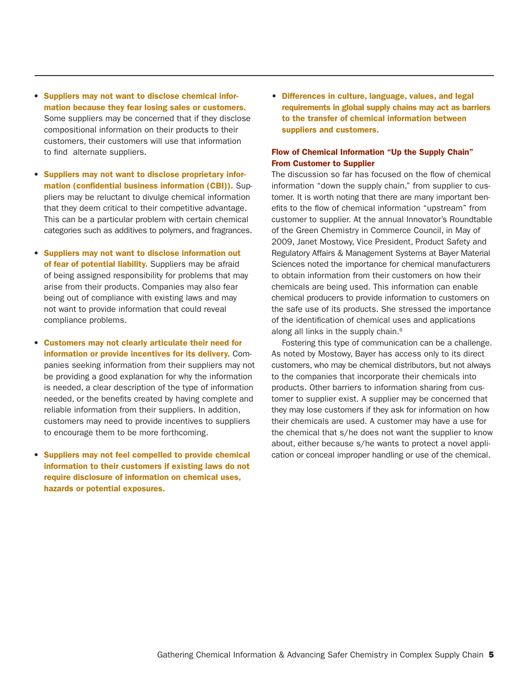- • Suppliers may not want to disclose chemical information because they fear losing sales or customers. Some suppliers may be concerned that if they disclose compositional information on their products to their customers, their customers will use that information to find alternate suppliers.
- • Suppliers may not want to disclose proprietary information (confidential business information (CBI)). Suppliers may be reluctant to divulge chemical information that they deem critical to their competitive advantage. This can be a particular problem with certain chemical categories such as additives to polymers, and fragrances.
- • Suppliers may not want to disclose information out of fear of potential liability. Suppliers may be afraid of being assigned responsibility for problems that may arise from their products. Companies may also fear being out of compliance with existing laws and may not want to provide information that could reveal compliance problems.
- • Customers may not clearly articulate their need for information or provide incentives for its delivery. Companies seeking information from their suppliers may not be providing a good explanation for why the information is needed, a clear description of the type of information needed, or the benefits created by having complete and reliable information from their suppliers. In addition, customers may need to provide incentives to suppliers to encourage them to be more forthcoming.
- • Suppliers may not feel compelled to provide chemical information to their customers if existing laws do not require disclosure of information on chemical uses, hazards or potential exposures.

• Differences in culture, language, values, and legal requirements in global supply chains may act as barriers to the transfer of chemical information between suppliers and customers.

#### Flow of Chemical Information "Up the Supply Chain" From Customer to Supplier

The discussion so far has focused on the flow of chemical information "down the supply chain," from supplier to customer. It is worth noting that there are many important benefits to the flow of chemical information "upstream" from customer to supplier. At the annual Innovator's Roundtable of the Green Chemistry in Commerce Council, in May of 2009, Janet Mostowy, Vice President, Product Safety and Regulatory Affairs & Management Systems at Bayer Material Sciences noted the importance for chemical manufacturers to obtain information from their customers on how their chemicals are being used. This information can enable chemical producers to provide information to customers on the safe use of its products. She stressed the importance of the identification of chemical uses and applications along all links in the supply chain.<sup>6</sup>

Fostering this type of communication can be a challenge. As noted by Mostowy, Bayer has access only to its direct customers, who may be chemical distributors, but not always to the companies that incorporate their chemicals into products. Other barriers to information sharing from customer to supplier exist. A supplier may be concerned that they may lose customers if they ask for information on how their chemicals are used. A customer may have a use for the chemical that s/he does not want the supplier to know about, either because s/he wants to protect a novel application or conceal improper handling or use of the chemical.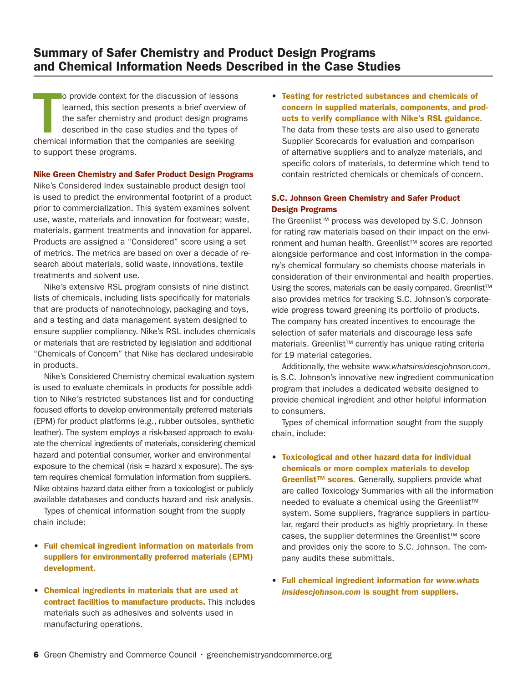## Summary of Safer Chemistry and Product Design Programs and Chemical Information Needs Described in the Case Studies

o provide context for the discussion of lessons<br>learned, this section presents a brief overview<br>the safer chemistry and product design progra<br>described in the case studies and the types of<br>chemical information that the com o provide context for the discussion of lessons learned, this section presents a brief overview of the safer chemistry and product design programs described in the case studies and the types of to support these programs.

#### Nike Green Chemistry and Safer Product Design Programs

Nike's Considered Index sustainable product design tool is used to predict the environmental footprint of a product prior to commercialization. This system examines solvent use, waste, materials and innovation for footwear; waste, materials, garment treatments and innovation for apparel. Products are assigned a "Considered" score using a set of metrics. The metrics are based on over a decade of research about materials, solid waste, innovations, textile treatments and solvent use.

Nike's extensive RSL program consists of nine distinct lists of chemicals, including lists specifically for materials that are products of nanotechnology, packaging and toys, and a testing and data management system designed to ensure supplier compliancy. Nike's RSL includes chemicals or materials that are restricted by legislation and additional "Chemicals of Concern" that Nike has declared undesirable in products.

Nike's Considered Chemistry chemical evaluation system is used to evaluate chemicals in products for possible addition to Nike's restricted substances list and for conducting focused efforts to develop environmentally preferred materials (EPM) for product platforms (e.g., rubber outsoles, synthetic leather). The system employs a risk-based approach to evaluate the chemical ingredients of materials, considering chemical hazard and potential consumer, worker and environmental exposure to the chemical (risk  $=$  hazard x exposure). The system requires chemical formulation information from suppliers. Nike obtains hazard data either from a toxicologist or publicly available databases and conducts hazard and risk analysis.

Types of chemical information sought from the supply chain include:

- • Full chemical ingredient information on materials from suppliers for environmentally preferred materials (EPM) development.
- • Chemical ingredients in materials that are used at contract facilities to manufacture products. This includes materials such as adhesives and solvents used in manufacturing operations.

• Testing for restricted substances and chemicals of concern in supplied materials, components, and products to verify compliance with Nike's RSL guidance. The data from these tests are also used to generate Supplier Scorecards for evaluation and comparison of alternative suppliers and to analyze materials, and specific colors of materials, to determine which tend to contain restricted chemicals or chemicals of concern.

### S.C. Johnson Green Chemistry and Safer Product Design Programs

The Greenlist™ process was developed by S.C. Johnson for rating raw materials based on their impact on the environment and human health. Greenlist™ scores are reported alongside performance and cost information in the company's chemical formulary so chemists choose materials in consideration of their environmental and health properties. Using the scores, materials can be easily compared. Greenlist<sup>™</sup> also provides metrics for tracking S.C. Johnson's corporatewide progress toward greening its portfolio of products. The company has created incentives to encourage the selection of safer materials and discourage less safe materials. Greenlist™ currently has unique rating criteria for 19 material categories.

Additionally, the website *www.whatsinsidescjohnson.com*, is S.C. Johnson's innovative new ingredient communication program that includes a dedicated website designed to provide chemical ingredient and other helpful information to consumers.

Types of chemical information sought from the supply chain, include:

- • Toxicological and other hazard data for individual chemicals or more complex materials to develop Greenlist™ scores. Generally, suppliers provide what are called Toxicology Summaries with all the information needed to evaluate a chemical using the Greenlist™ system. Some suppliers, fragrance suppliers in particular, regard their products as highly proprietary. In these cases, the supplier determines the Greenlist™ score and provides only the score to S.C. Johnson. The company audits these submittals.
- • Full chemical ingredient information for *www.whats insidescjohnson.com* is sought from suppliers.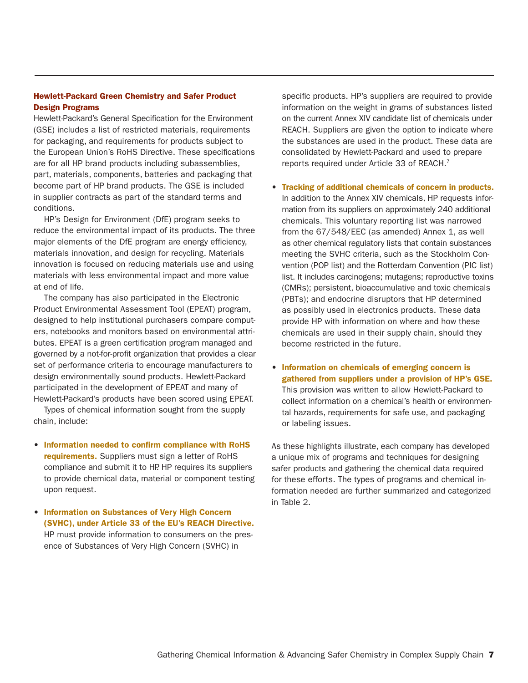## Hewlett-Packard Green Chemistry and Safer Product Design Programs

Hewlett-Packard's General Specification for the Environment (GSE) includes a list of restricted materials, requirements for packaging, and requirements for products subject to the European Union's RoHS Directive. These specifications are for all HP brand products including subassemblies, part, materials, components, batteries and packaging that become part of HP brand products. The GSE is included in supplier contracts as part of the standard terms and conditions.

HP's Design for Environment (DfE) program seeks to reduce the environmental impact of its products. The three major elements of the DfE program are energy efficiency, materials innovation, and design for recycling. Materials innovation is focused on reducing materials use and using materials with less environmental impact and more value at end of life.

The company has also participated in the Electronic Product Environmental Assessment Tool (EPEAT) program, designed to help institutional purchasers compare computers, notebooks and monitors based on environmental attributes. EPEAT is a green certification program managed and governed by a not-for-profit organization that provides a clear set of performance criteria to encourage manufacturers to design environmentally sound products. Hewlett-Packard participated in the development of EPEAT and many of Hewlett-Packard's products have been scored using EPEAT.

Types of chemical information sought from the supply chain, include:

- • Information needed to confirm compliance with RoHS requirements. Suppliers must sign a letter of RoHS compliance and submit it to HP. HP requires its suppliers to provide chemical data, material or component testing upon request.
- Information on Substances of Very High Concern (SVHC), under Article 33 of the EU's REACH Directive. HP must provide information to consumers on the presence of Substances of Very High Concern (SVHC) in

specific products. HP's suppliers are required to provide information on the weight in grams of substances listed on the current Annex XIV candidate list of chemicals under REACH. Suppliers are given the option to indicate where the substances are used in the product. These data are consolidated by Hewlett-Packard and used to prepare reports required under Article 33 of REACH.7

- • Tracking of additional chemicals of concern in products. In addition to the Annex XIV chemicals, HP requests information from its suppliers on approximately 240 additional chemicals. This voluntary reporting list was narrowed from the 67/548/EEC (as amended) Annex 1, as well as other chemical regulatory lists that contain substances meeting the SVHC criteria, such as the Stockholm Convention (POP list) and the Rotterdam Convention (PIC list) list. It includes carcinogens; mutagens; reproductive toxins (CMRs); persistent, bioaccumulative and toxic chemicals (PBTs); and endocrine disruptors that HP determined as possibly used in electronics products. These data provide HP with information on where and how these chemicals are used in their supply chain, should they become restricted in the future.
- Information on chemicals of emerging concern is gathered from suppliers under a provision of HP's GSE. This provision was written to allow Hewlett-Packard to collect information on a chemical's health or environmental hazards, requirements for safe use, and packaging or labeling issues.

As these highlights illustrate, each company has developed a unique mix of programs and techniques for designing safer products and gathering the chemical data required for these efforts. The types of programs and chemical information needed are further summarized and categorized in Table 2.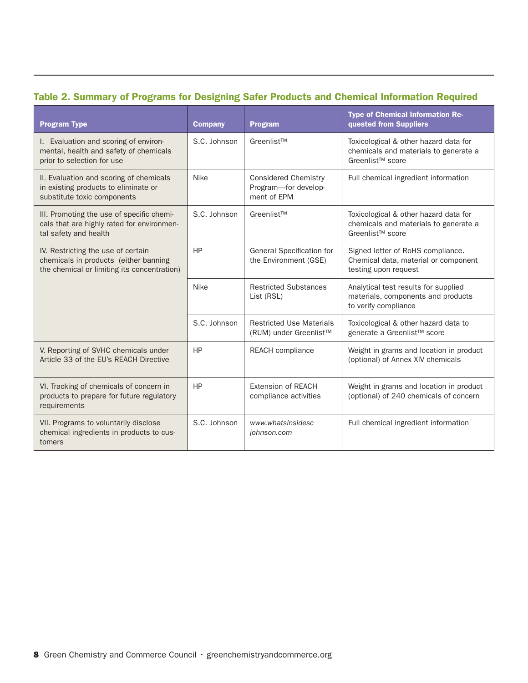## Table 2. Summary of Programs for Designing Safer Products and Chemical Information Required

| <b>Program Type</b>                                                                                                        | <b>Company</b> | <b>Program</b>                                                     | <b>Type of Chemical Information Re-</b><br>quested from Suppliers                                              |
|----------------------------------------------------------------------------------------------------------------------------|----------------|--------------------------------------------------------------------|----------------------------------------------------------------------------------------------------------------|
| I. Evaluation and scoring of environ-<br>mental, health and safety of chemicals<br>prior to selection for use              | S.C. Johnson   | Greenlist™                                                         | Toxicological & other hazard data for<br>chemicals and materials to generate a<br>Greenlist <sup>™</sup> score |
| II. Evaluation and scoring of chemicals<br>in existing products to eliminate or<br>substitute toxic components             | <b>Nike</b>    | <b>Considered Chemistry</b><br>Program-for develop-<br>ment of EPM | Full chemical ingredient information                                                                           |
| III. Promoting the use of specific chemi-<br>cals that are highly rated for environmen-<br>tal safety and health           | S.C. Johnson   | Greenlist™                                                         | Toxicological & other hazard data for<br>chemicals and materials to generate a<br>Greenlist <sup>™</sup> score |
| IV. Restricting the use of certain<br>chemicals in products (either banning<br>the chemical or limiting its concentration) | HP             | General Specification for<br>the Environment (GSE)                 | Signed letter of RoHS compliance.<br>Chemical data, material or component<br>testing upon request              |
|                                                                                                                            | <b>Nike</b>    | <b>Restricted Substances</b><br>List (RSL)                         | Analytical test results for supplied<br>materials, components and products<br>to verify compliance             |
|                                                                                                                            | S.C. Johnson   | <b>Restricted Use Materials</b><br>(RUM) under Greenlist™          | Toxicological & other hazard data to<br>generate a Greenlist™ score                                            |
| V. Reporting of SVHC chemicals under<br>Article 33 of the EU's REACH Directive                                             | HP             | <b>REACH</b> compliance                                            | Weight in grams and location in product<br>(optional) of Annex XIV chemicals                                   |
| VI. Tracking of chemicals of concern in<br>products to prepare for future regulatory<br>requirements                       | HP             | <b>Extension of REACH</b><br>compliance activities                 | Weight in grams and location in product<br>(optional) of 240 chemicals of concern                              |
| VII. Programs to voluntarily disclose<br>chemical ingredients in products to cus-<br>tomers                                | S.C. Johnson   | www.whatsinsidesc<br>johnson.com                                   | Full chemical ingredient information                                                                           |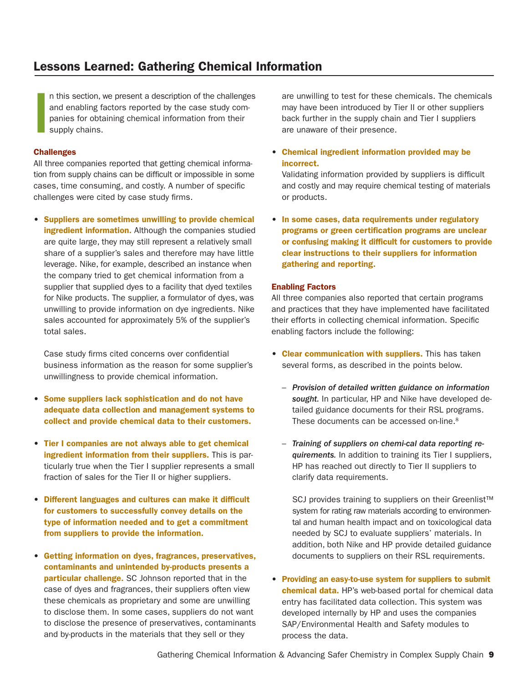## Lessons Learned: Gathering Chemical Information

I n this section, we present a description of the challenges and enabling factors reported by the case study companies for obtaining chemical information from their supply chains.

#### **Challenges**

All three companies reported that getting chemical information from supply chains can be difficult or impossible in some cases, time consuming, and costly. A number of specific challenges were cited by case study firms.

• Suppliers are sometimes unwilling to provide chemical ingredient information. Although the companies studied are quite large, they may still represent a relatively small share of a supplier's sales and therefore may have little leverage. Nike, for example, described an instance when the company tried to get chemical information from a supplier that supplied dyes to a facility that dyed textiles for Nike products. The supplier, a formulator of dyes, was unwilling to provide information on dye ingredients. Nike sales accounted for approximately 5% of the supplier's total sales.

Case study firms cited concerns over confidential business information as the reason for some supplier's unwillingness to provide chemical information.

- Some suppliers lack sophistication and do not have adequate data collection and management systems to collect and provide chemical data to their customers.
- Tier I companies are not always able to get chemical ingredient information from their suppliers. This is particularly true when the Tier I supplier represents a small fraction of sales for the Tier II or higher suppliers.
- • Different languages and cultures can make it difficult for customers to successfully convey details on the type of information needed and to get a commitment from suppliers to provide the information.
- • Getting information on dyes, fragrances, preservatives, contaminants and unintended by-products presents a particular challenge. SC Johnson reported that in the case of dyes and fragrances, their suppliers often view these chemicals as proprietary and some are unwilling to disclose them. In some cases, suppliers do not want to disclose the presence of preservatives, contaminants and by-products in the materials that they sell or they

are unwilling to test for these chemicals. The chemicals may have been introduced by Tier II or other suppliers back further in the supply chain and Tier I suppliers are unaware of their presence.

• Chemical ingredient information provided may be incorrect.

Validating information provided by suppliers is difficult and costly and may require chemical testing of materials or products.

• In some cases, data requirements under regulatory programs or green certification programs are unclear or confusing making it difficult for customers to provide clear instructions to their suppliers for information gathering and reporting.

#### Enabling Factors

All three companies also reported that certain programs and practices that they have implemented have facilitated their efforts in collecting chemical information. Specific enabling factors include the following:

- Clear communication with suppliers. This has taken several forms, as described in the points below.
	- *Provision of detailed written guidance on information sought.* In particular, HP and Nike have developed detailed guidance documents for their RSL programs. These documents can be accessed on-line.<sup>8</sup>
	- *Training of suppliers on chemi-cal data reporting requirements.* In addition to training its Tier I suppliers, HP has reached out directly to Tier II suppliers to clarify data requirements.

SCJ provides training to suppliers on their Greenlist<sup>™</sup> system for rating raw materials according to environmental and human health impact and on toxicological data needed by SCJ to evaluate suppliers' materials. In addition, both Nike and HP provide detailed guidance documents to suppliers on their RSL requirements.

• Providing an easy-to-use system for suppliers to submit chemical data. HP's web-based portal for chemical data entry has facilitated data collection. This system was developed internally by HP and uses the companies SAP/Environmental Health and Safety modules to process the data.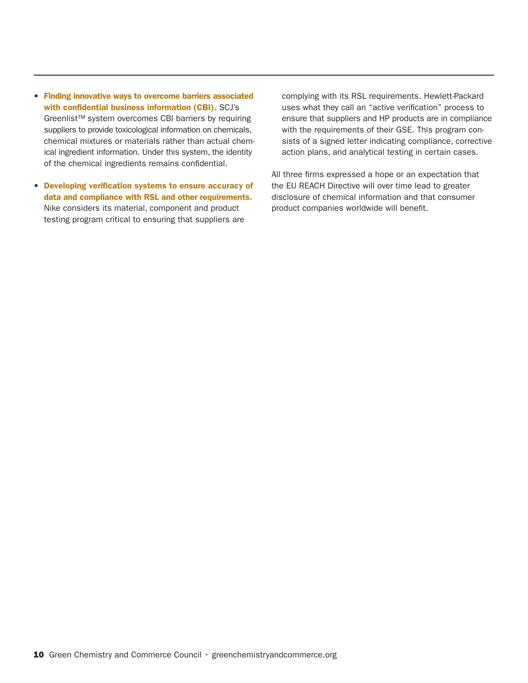- • Finding innovative ways to overcome barriers associated with confidential business information (CBI). SCJ's Greenlist™ system overcomes CBI barriers by requiring suppliers to provide toxicological information on chemicals, chemical mixtures or materials rather than actual chemical ingredient information. Under this system, the identity of the chemical ingredients remains confidential.
- • Developing verification systems to ensure accuracy of data and compliance with RSL and other requirements. Nike considers its material, component and product testing program critical to ensuring that suppliers are

complying with its RSL requirements. Hewlett-Packard uses what they call an "active verification" process to ensure that suppliers and HP products are in compliance with the requirements of their GSE. This program consists of a signed letter indicating compliance, corrective action plans, and analytical testing in certain cases.

All three firms expressed a hope or an expectation that the EU REACH Directive will over time lead to greater disclosure of chemical information and that consumer product companies worldwide will benefit.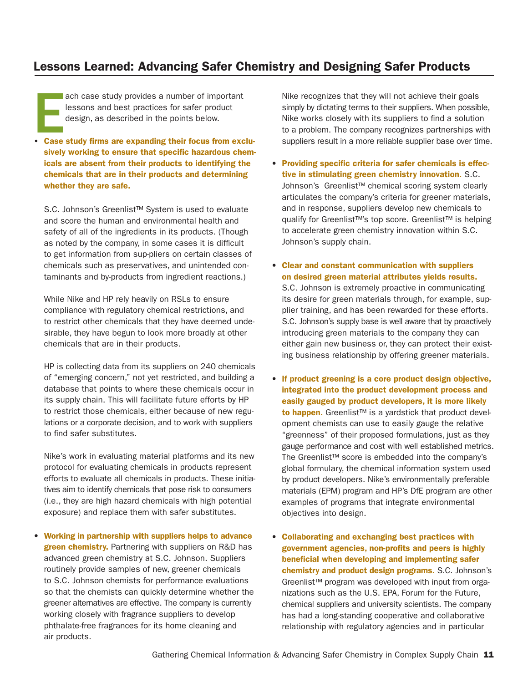## Lessons Learned: Advancing Safer Chemistry and Designing Safer Products

ach case study provides a number of important<br>
lessons and best practices for safer product<br>
design, as described in the points below.<br>
Case study firms are expanding their focus from excluach case study provides a number of important lessons and best practices for safer product design, as described in the points below.

sively working to ensure that specific hazardous chemicals are absent from their products to identifying the chemicals that are in their products and determining whether they are safe.

S.C. Johnson's Greenlist™ System is used to evaluate and score the human and environmental health and safety of all of the ingredients in its products. (Though as noted by the company, in some cases it is difficult to get information from sup-pliers on certain classes of chemicals such as preservatives, and unintended contaminants and by-products from ingredient reactions.)

While Nike and HP rely heavily on RSLs to ensure compliance with regulatory chemical restrictions, and to restrict other chemicals that they have deemed undesirable, they have begun to look more broadly at other chemicals that are in their products.

HP is collecting data from its suppliers on 240 chemicals of "emerging concern," not yet restricted, and building a database that points to where these chemicals occur in its supply chain. This will facilitate future efforts by HP to restrict those chemicals, either because of new regulations or a corporate decision, and to work with suppliers to find safer substitutes.

Nike's work in evaluating material platforms and its new protocol for evaluating chemicals in products represent efforts to evaluate all chemicals in products. These initiatives aim to identify chemicals that pose risk to consumers (i.e., they are high hazard chemicals with high potential exposure) and replace them with safer substitutes.

• Working in partnership with suppliers helps to advance green chemistry. Partnering with suppliers on R&D has advanced green chemistry at S.C. Johnson. Suppliers routinely provide samples of new, greener chemicals to S.C. Johnson chemists for performance evaluations so that the chemists can quickly determine whether the greener alternatives are effective. The company is currently working closely with fragrance suppliers to develop phthalate-free fragrances for its home cleaning and air products.

Nike recognizes that they will not achieve their goals simply by dictating terms to their suppliers. When possible, Nike works closely with its suppliers to find a solution to a problem. The company recognizes partnerships with suppliers result in a more reliable supplier base over time.

- Providing specific criteria for safer chemicals is effective in stimulating green chemistry innovation. S.C. Johnson's Greenlist™ chemical scoring system clearly articulates the company's criteria for greener materials, and in response, suppliers develop new chemicals to qualify for Greenlist™'s top score. Greenlist™ is helping to accelerate green chemistry innovation within S.C. Johnson's supply chain.
- • Clear and constant communication with suppliers on desired green material attributes yields results. S.C. Johnson is extremely proactive in communicating its desire for green materials through, for example, supplier training, and has been rewarded for these efforts. S.C. Johnson's supply base is well aware that by proactively introducing green materials to the company they can either gain new business or, they can protect their existing business relationship by offering greener materials.
- • If product greening is a core product design objective, integrated into the product development process and easily gauged by product developers, it is more likely to happen. Greenlist<sup>™</sup> is a yardstick that product development chemists can use to easily gauge the relative "greenness" of their proposed formulations, just as they gauge performance and cost with well established metrics. The Greenlist™ score is embedded into the company's global formulary, the chemical information system used by product developers. Nike's environmentally preferable materials (EPM) program and HP's DfE program are other examples of programs that integrate environmental objectives into design.
- • Collaborating and exchanging best practices with government agencies, non-profits and peers is highly beneficial when developing and implementing safer chemistry and product design programs. S.C. Johnson's Greenlist™ program was developed with input from organizations such as the U.S. EPA, Forum for the Future, chemical suppliers and university scientists. The company has had a long-standing cooperative and collaborative relationship with regulatory agencies and in particular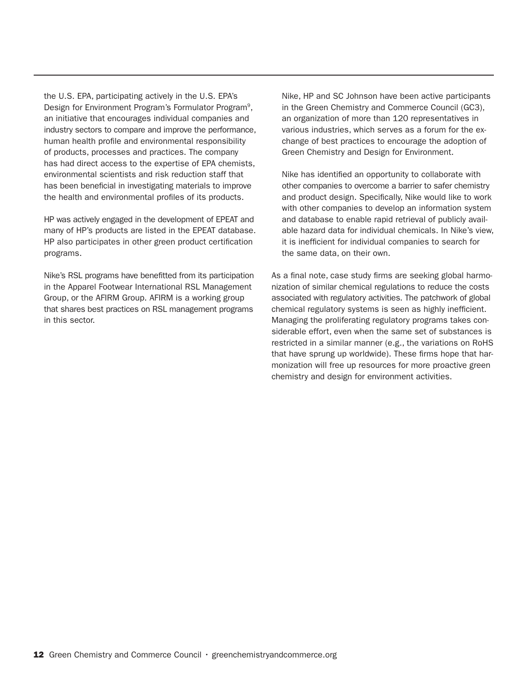the U.S. EPA, participating actively in the U.S. EPA's Design for Environment Program's Formulator Program9, an initiative that encourages individual companies and industry sectors to compare and improve the performance, human health profile and environmental responsibility of products, processes and practices. The company has had direct access to the expertise of EPA chemists, environmental scientists and risk reduction staff that has been beneficial in investigating materials to improve the health and environmental profiles of its products.

HP was actively engaged in the development of EPEAT and many of HP's products are listed in the EPEAT database. HP also participates in other green product certification programs.

Nike's RSL programs have benefitted from its participation in the Apparel Footwear International RSL Management Group, or the AFIRM Group. AFIRM is a working group that shares best practices on RSL management programs in this sector.

Nike, HP and SC Johnson have been active participants in the Green Chemistry and Commerce Council (GC3), an organization of more than 120 representatives in various industries, which serves as a forum for the exchange of best practices to encourage the adoption of Green Chemistry and Design for Environment.

Nike has identified an opportunity to collaborate with other companies to overcome a barrier to safer chemistry and product design. Specifically, Nike would like to work with other companies to develop an information system and database to enable rapid retrieval of publicly available hazard data for individual chemicals. In Nike's view, it is inefficient for individual companies to search for the same data, on their own.

As a final note, case study firms are seeking global harmonization of similar chemical regulations to reduce the costs associated with regulatory activities. The patchwork of global chemical regulatory systems is seen as highly inefficient. Managing the proliferating regulatory programs takes considerable effort, even when the same set of substances is restricted in a similar manner (e.g., the variations on RoHS that have sprung up worldwide). These firms hope that harmonization will free up resources for more proactive green chemistry and design for environment activities.